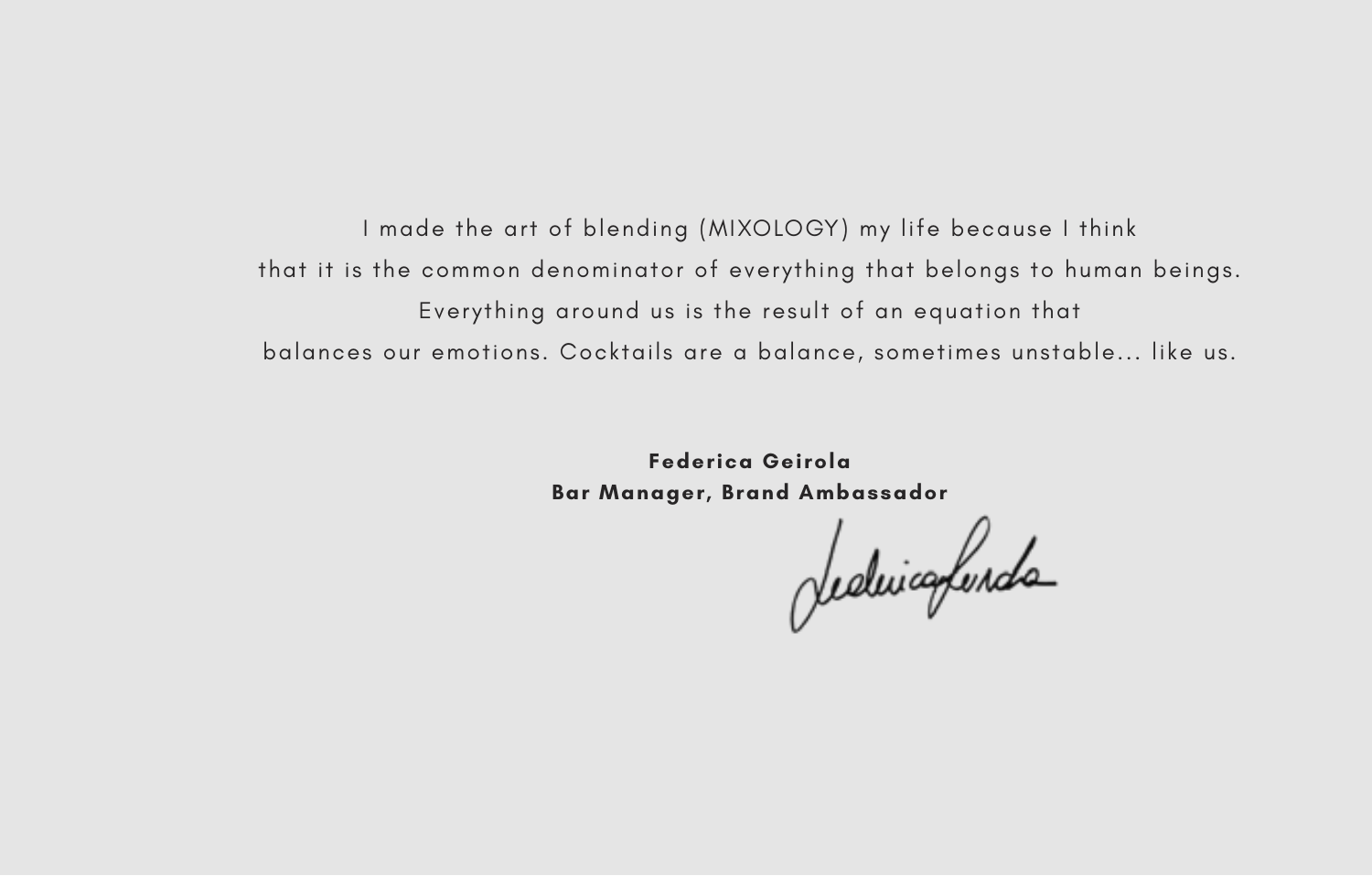I made the art of blending (MIXOLOGY) my life because I think that it is the common denominator of everything that belongs to human beings. Everything around us is the result of an equation that balances our emotions. Cocktails are a balance, sometimes unstable... like us.

> **Federica Geirola Bar Manager, Brand Ambassador**

deduicafunda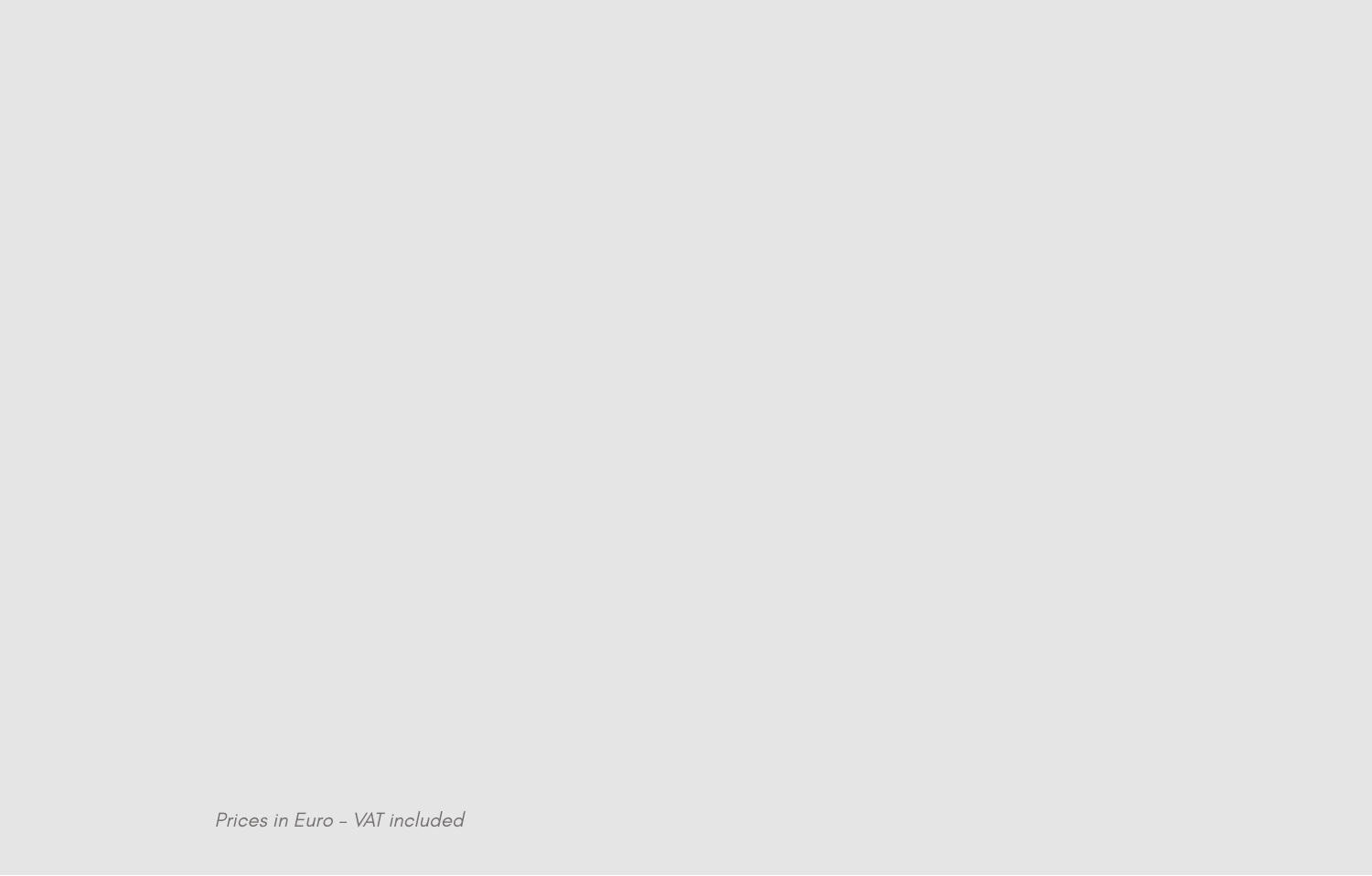Prices in Euro – VAT included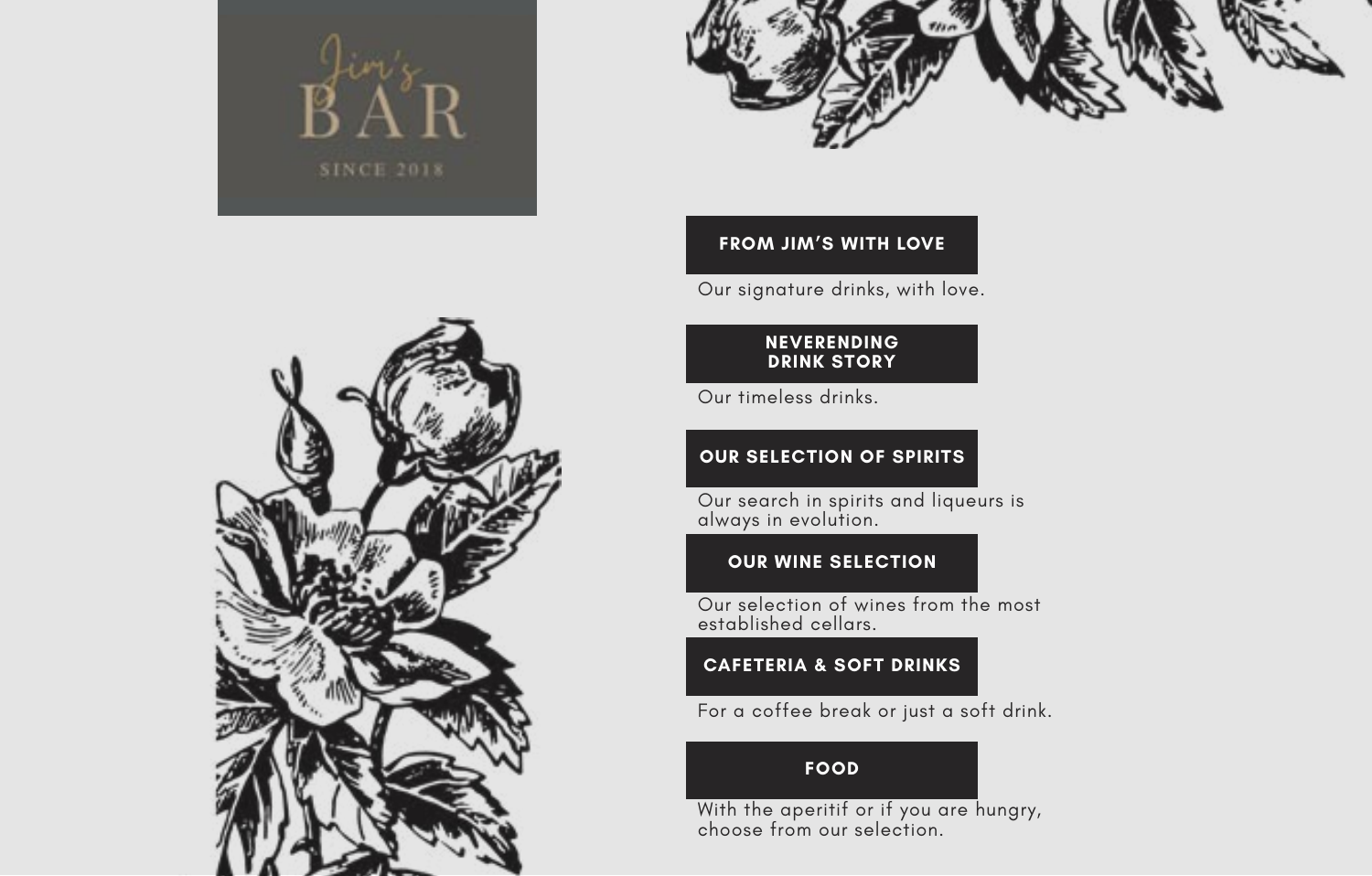



### **FROM JIM'S WITH LOVE**

Our signature drinks, with love.

#### **NEVERENDING DRINK STORY**

Our timeless drinks.

### **OUR SELECTION OF SPIRITS**

Our search in spirits and liqueurs is always in evolution.

#### **OUR WINE SELECTION**

Our selection of wines from the most established cellars.

### **CAFETERIA & SOFT DRINKS**

For a coffee break or just a soft drink.

### **FOOD**

With the aperitif or if you are hungry, choose from our selection.

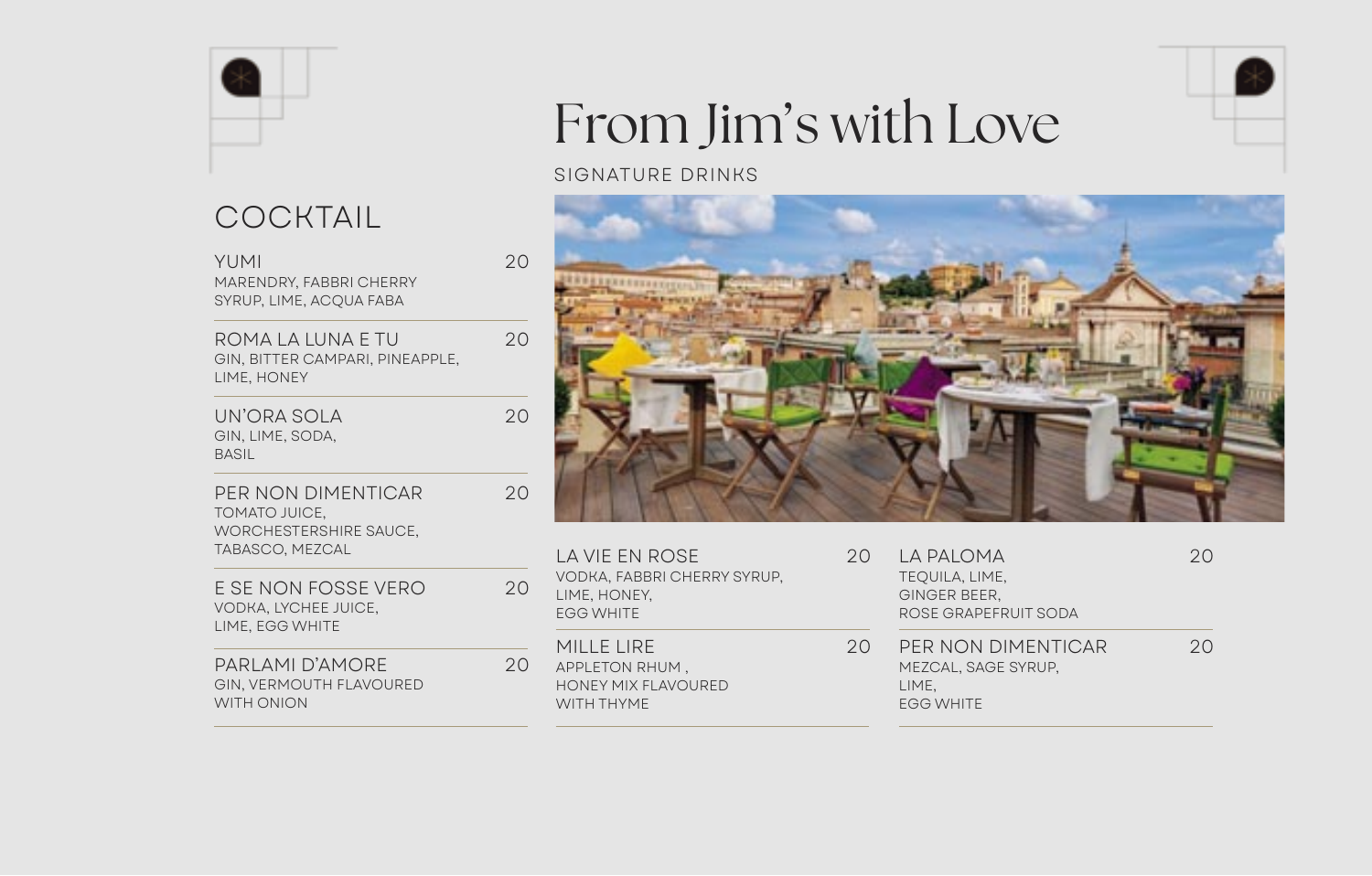COCKTAIL

| YUMI<br>MARENDRY, FABBRI CHERRY<br>SYRUP, LIME, ACOUA FABA                              | 20 |
|-----------------------------------------------------------------------------------------|----|
| ROMA LA LUNA E TU<br>GIN, BITTER CAMPARI, PINEAPPLE,<br>LIME, HONEY                     | 20 |
| UN'ORA SOLA<br>GIN, LIME, SODA,<br><b>BASIL</b>                                         | 20 |
| PER NON DIMENTICAR<br>TOMATO JUICE,<br><b>WORCHESTERSHIRE SAUCE,</b><br>TABASCO, MEZCAL | 20 |
| E SE NON FOSSE VERO<br>VODKA, LYCHEE JUICE,<br>LIME, EGG WHITE                          | 20 |
| PARLAMI D'AMORE<br>GIN, VERMOUTH FLAVOURED<br><b>WITH ONION</b>                         | 20 |

# From Jim's with Love

### SIGNATURE DRINKS



| LA VIE EN ROSE<br>VODKA, FABBRI CHERRY SYRUP.<br>LIME, HONEY,<br><b>EGG WHITE</b> | 20           | LA PALOMA<br>TEQUILA, LIME,<br>GINGER BEER,<br>ROSE GRAPEFRUIT SODA  |
|-----------------------------------------------------------------------------------|--------------|----------------------------------------------------------------------|
| MILLE LIRE<br>APPLETON RHUM.<br><b>HONEY MIX FLAVOURED</b><br>WITH THYME          | $20^{\circ}$ | PER NON DIMENTIC<br>MEZCAL, SAGE SYRUP,<br>LIME.<br><b>EGG WHITE</b> |

| LA PALOMA<br>TEQUILA, LIME,<br>GINGER BEER.<br>ROSE GRAPEFRUIT SODA | 20 |
|---------------------------------------------------------------------|----|
| PER NON DIMENTICAR<br>MEZCAL, SAGE SYRUP.<br>LIME.                  | 20 |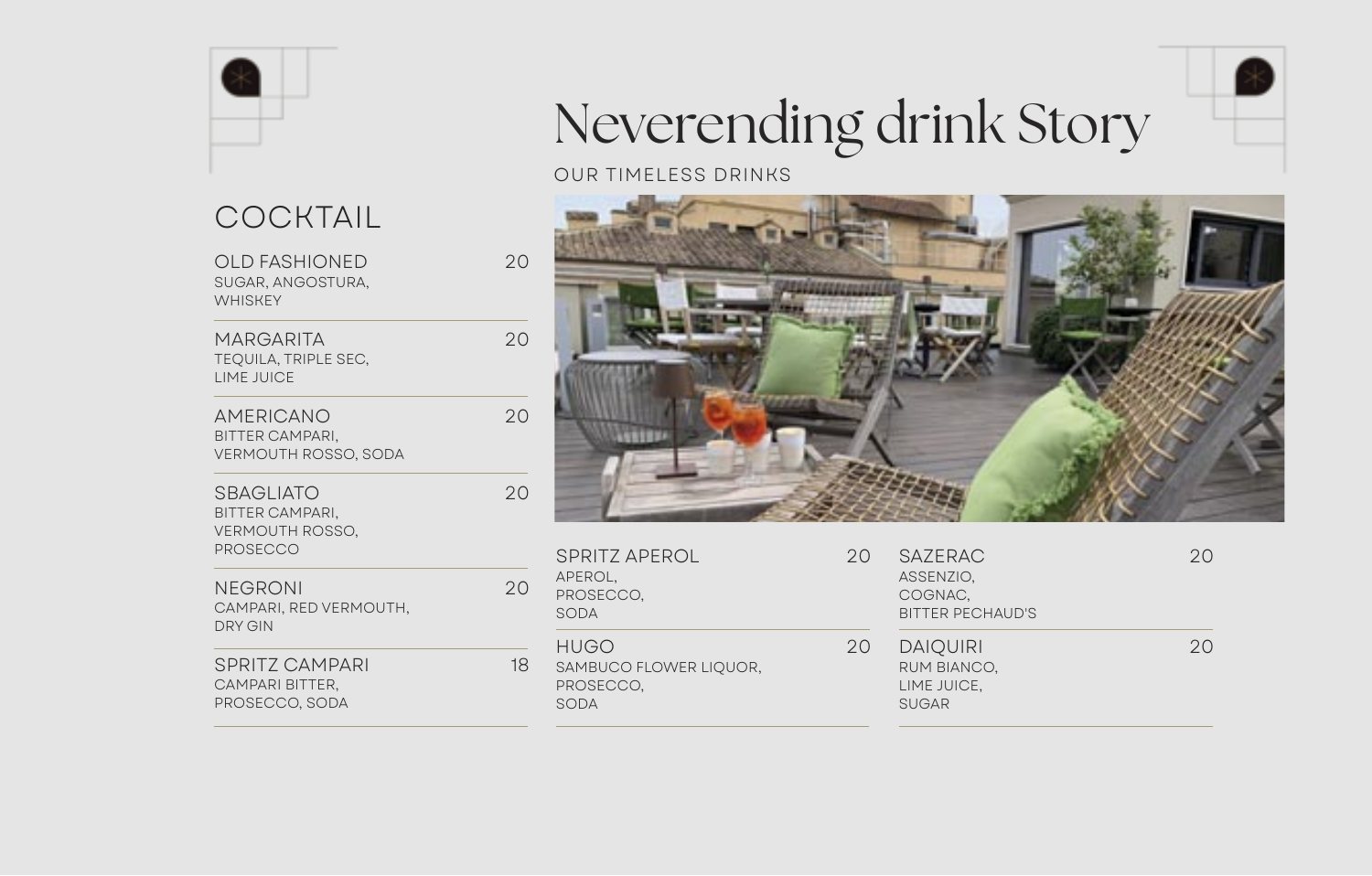

# **COCKTAIL**

PROSECCO, SODA

| <b>OLD FASHIONED</b><br>SUGAR, ANGOSTURA,<br><b>WHISKEY</b>                      | 20 |
|----------------------------------------------------------------------------------|----|
| <b>MARGARITA</b><br><b>TEQUILA, TRIPLE SEC,</b><br>LIME JUICE                    | 20 |
| AMERICANO<br><b>BITTER CAMPARI,</b><br>VERMOUTH ROSSO, SODA                      | 20 |
| SBAGLIATO<br><b>BITTER CAMPARI,</b><br><b>VERMOUTH ROSSO,</b><br><b>PROSECCO</b> | 20 |
| NEGRONI<br>CAMPARI, RED VERMOUTH,<br>DRY GIN                                     | 20 |
| SPRITZ CAMPARI<br>CAMPARI BITTER,                                                | 18 |

# Neverending drink Story

### OUR TIMELESS DRINKS



| SPRITZ APEROL<br>APEROL,<br>PROSECCO,<br>SODA              | 20 | <b>SAZERAC</b><br>ASSENZIO,<br>COGNAC.<br><b>BITTER PECHAUD'S</b> | 20 |
|------------------------------------------------------------|----|-------------------------------------------------------------------|----|
| <b>HUGO</b><br>SAMBUCO FLOWER LIQUOR,<br>PROSECCO.<br>SODA | 20 | <b>DAIQUIRI</b><br>RUM BIANCO.<br>LIME JUICE.<br><b>SUGAR</b>     | クロ |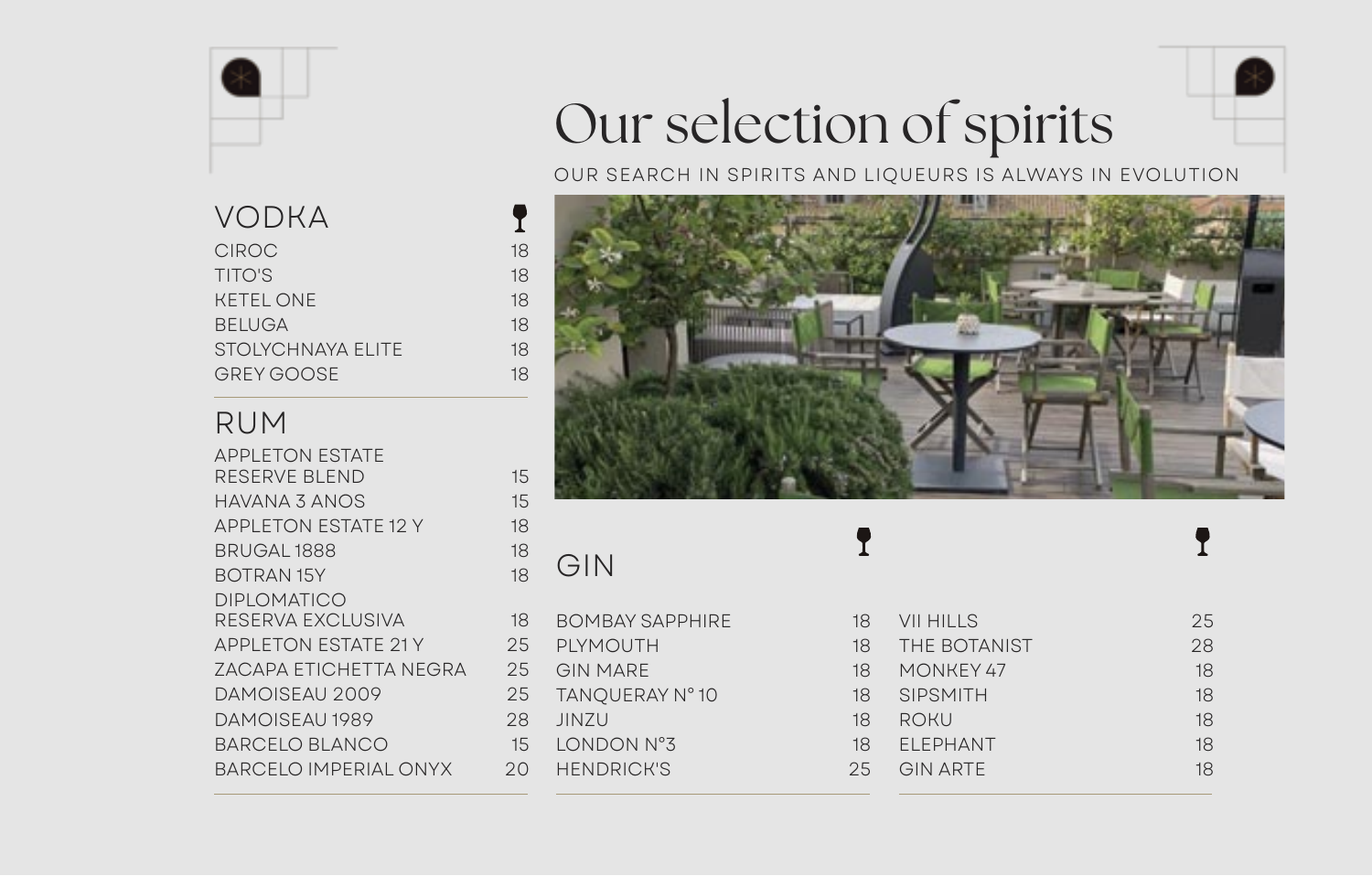

## VODKA **?**<br>CIROC 18 TITO'S 18 KETEL ONE 18 BELUGA 18 STOLYCHNAYA ELITE 18 GREY GOOSE 18

### RUM

| <b>APPLETON ESTATE</b>      |    |
|-----------------------------|----|
| <b>RESERVE BLEND</b>        | 15 |
| HAVANA 3 ANOS               | 15 |
| <b>APPLETON ESTATE 12 Y</b> | 18 |
| BRUGAL 1888                 | 18 |
| <b>BOTRAN 15Y</b>           | 18 |
| <b>DIPLOMATICO</b>          |    |
| RESERVA EXCLUSIVA           | 18 |
| <b>APPLETON ESTATE 21 Y</b> | 25 |
| ZACAPA ETICHETTA NEGRA      | 25 |
| DAMOISEAU 2009              | 25 |
| DAMOISFAU 1989              | 28 |
| BARCELO BLANCO              | 15 |
| BARCELO IMPERIAL ONYX       | 2Ο |
|                             |    |

# Our selection of spirits

OUR SEARCH IN SPIRITS AND LIQUEURS IS ALWAYS IN EVOLUTION



# GIN

BOMBAY SAPPHIRE 18 **PI YMOUTH GIN MARE** TANOUERAY N° 10 JINZU 18 LONDON N°3 **HENDRICK'S** 

| 18 | <b>VII HILLS</b>    | 25 |
|----|---------------------|----|
| 18 | <b>THE BOTANIST</b> | 28 |
| 18 | MONKEY 47           | 18 |
| 18 | <b>SIPSMITH</b>     | 18 |
| 18 | <b>ROKU</b>         | 18 |
| 18 | ELEPHANT            | 18 |
| 25 | <b>GIN ARTE</b>     | 18 |
|    |                     |    |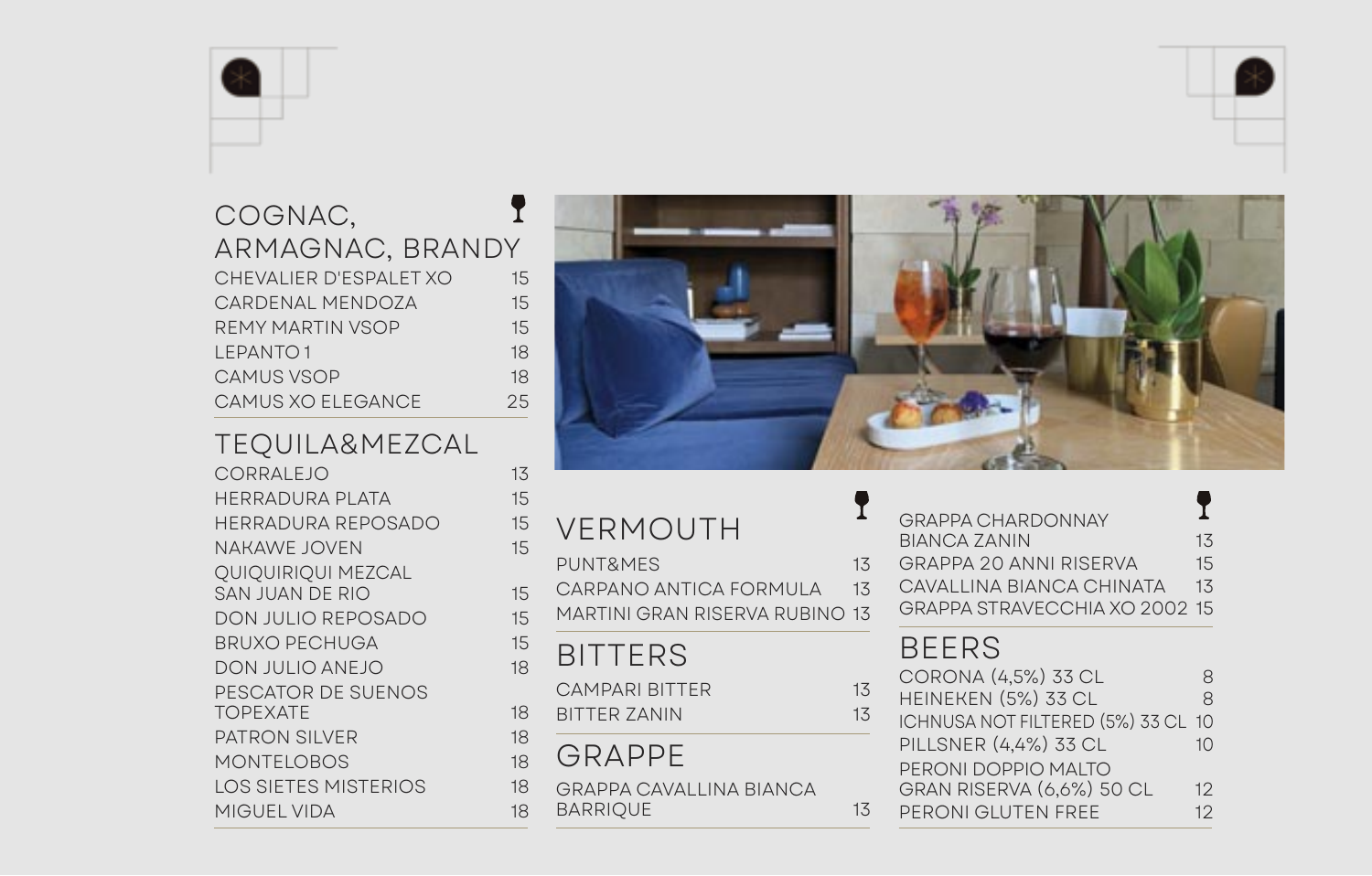# COGNAC, ARMAGNAC, BRANDY<br>CHEVALIER D'ESPALET XOUTS CARDENAL MENDOZA 15 REMY MARTIN VSOP 15 LEPANTO 1 18 CAMUS VSOP
18 CAMUS XO ELEGANCE 25

# TEQUILA&MEZCAL<br>corralejo 13

HERRADURA PLATA 15 HERRADURA REPOSADO 15 NAKAWE JOVEN 15 QUIQUIRIQUI MEZCAL SAN JUAN DE RIO 15 DON JULIO REPOSADO 15 BRUXO PECHUGA 15 DON JULIO ANEJO 18 PESCATOR DE SUENOS TOPEXATE 18 PATRON SILVER 18 MONTELOBOS 18 LOS SIETES MISTERIOS 18 MIGUEL VIDA 18



| VERMOUTH<br><b>PUNT&amp;MES</b><br>CARPANO ANTICA FORMULA<br><b>MARTINI GRAN RISERVA RUBINO 13</b> | 13<br>1 <sub>3</sub> | <b>GRAPPA CHARDONNAY</b><br><b>BIANCA ZANIN</b><br><b>GRAPPA 20 ANNI RISERVA</b><br>CAVALLINA BIANCA CHINATA<br>GRAPPA STRAVECCHIA XO 2002 15 | 13<br>15<br>1 <sub>3</sub> |
|----------------------------------------------------------------------------------------------------|----------------------|-----------------------------------------------------------------------------------------------------------------------------------------------|----------------------------|
| <b>BITTERS</b><br><b>CAMPARI BITTER</b><br><b>BITTER ZANIN</b>                                     | 13<br>13             | <b>BEERS</b><br>CORONA (4,5%) 33 CL<br>HEINEKEN (5%) 33 CL<br>ICHNUSA NOT FILTERED (5%) 33 CL                                                 | 8<br>8<br>10               |
| GRAPPE<br><b>GRAPPA CAVALLINA BIANCA</b><br><b>BARRIQUE</b>                                        | 13                   | PILLSNER (4,4%) 33 CL<br>PERONI DOPPIO MALTO<br>GRAN RISERVA (6,6%) 50 CL<br>PERONI GLUTEN FREE                                               | 10<br>12<br>12             |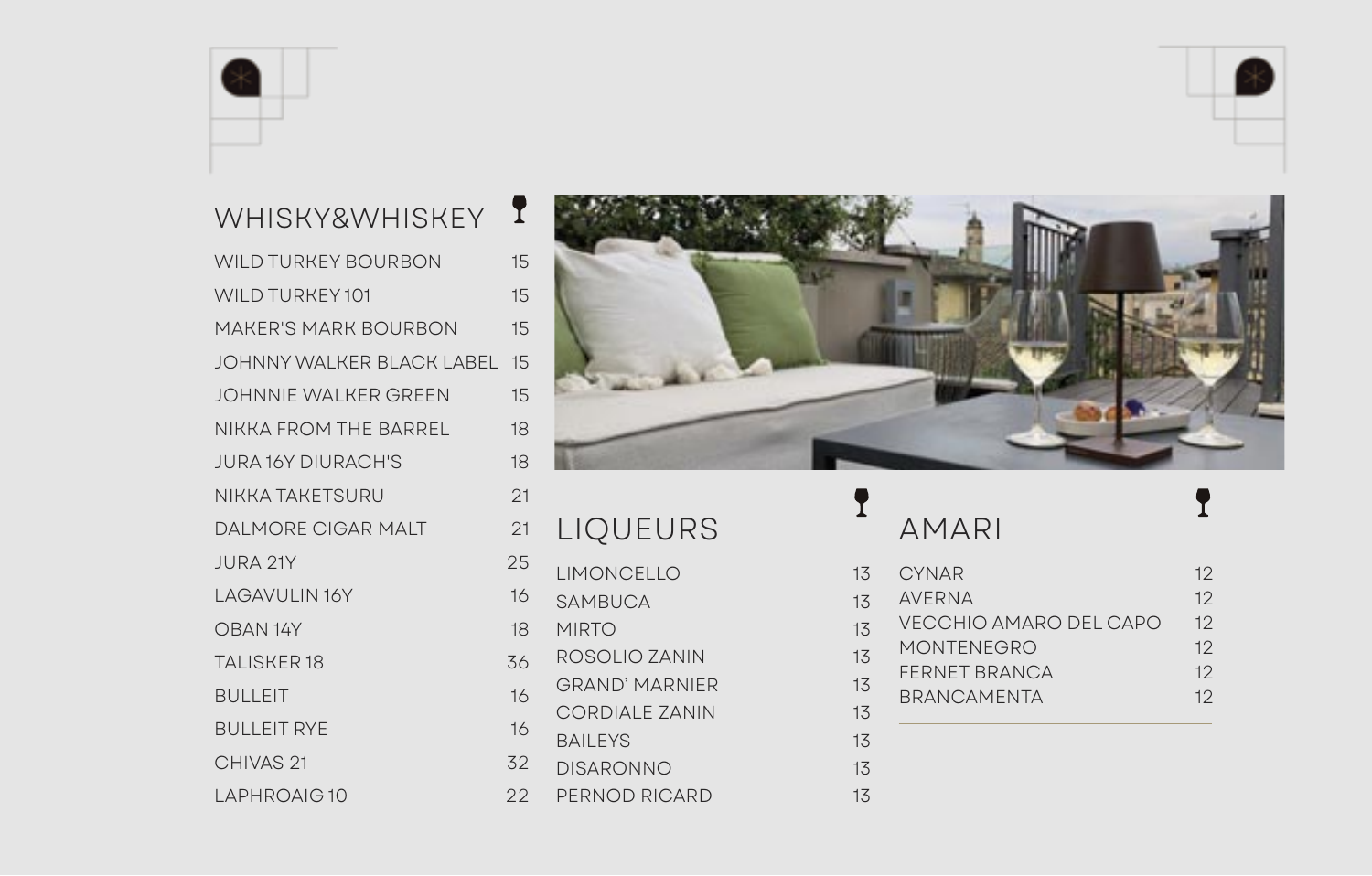

# WHISKY&WHISKEY<sup>1</sup>

| <b>WILD TURKEY BOURBON</b>          | 15 |
|-------------------------------------|----|
| WILD TURKEY 101                     | 15 |
| <b>MAKER'S MARK BOURBON</b>         | 15 |
| <b>JOHNNY WALKER BLACK LABEL 15</b> |    |
| JOHNNIE WALKER GREEN                | 15 |
| NIKKA FROM THE BARREL               | 18 |
| <b>JURA 16Y DIURACH'S</b>           | 18 |
| NIKKA TAKETSURU                     | 21 |
| <b>DALMORE CIGAR MALT</b>           | 21 |
| <b>JURA 21Y</b>                     | 25 |
| <b>LAGAVULIN 16Y</b>                | 16 |
| OBAN 14Y                            | 18 |
| <b>TALISKER18</b>                   | 36 |
| <b>BULLEIT</b>                      | 16 |
| <b>BULLEIT RYE</b>                  | 16 |
| CHIVAS <sub>21</sub>                | 32 |
| LAPHROAIG10                         | 22 |
|                                     |    |



## LIQUEURS LIMONCELLO SAMBUCA **MIRTO** ROSOLIO ZANIN 13 **GRAND' MARNIER** CORDIALE ZANIN BAILEYS 13 DISARONNO 13 PERNOD RICARD 13

# AMARI

T

| 3                        | <b>CYNAR</b>           | 12 |
|--------------------------|------------------------|----|
| $\overline{\mathcal{A}}$ | <b>AVERNA</b>          | 12 |
| $\overline{\mathcal{L}}$ | VECCHIO AMARO DEL CAPO | 12 |
| $\overline{5}$           | <b>MONTENEGRO</b>      | 12 |
| $\overline{5}$           | <b>FERNET BRANCA</b>   | 12 |
|                          | <b>BRANCAMENTA</b>     | 12 |
| $\overline{\mathcal{L}}$ |                        |    |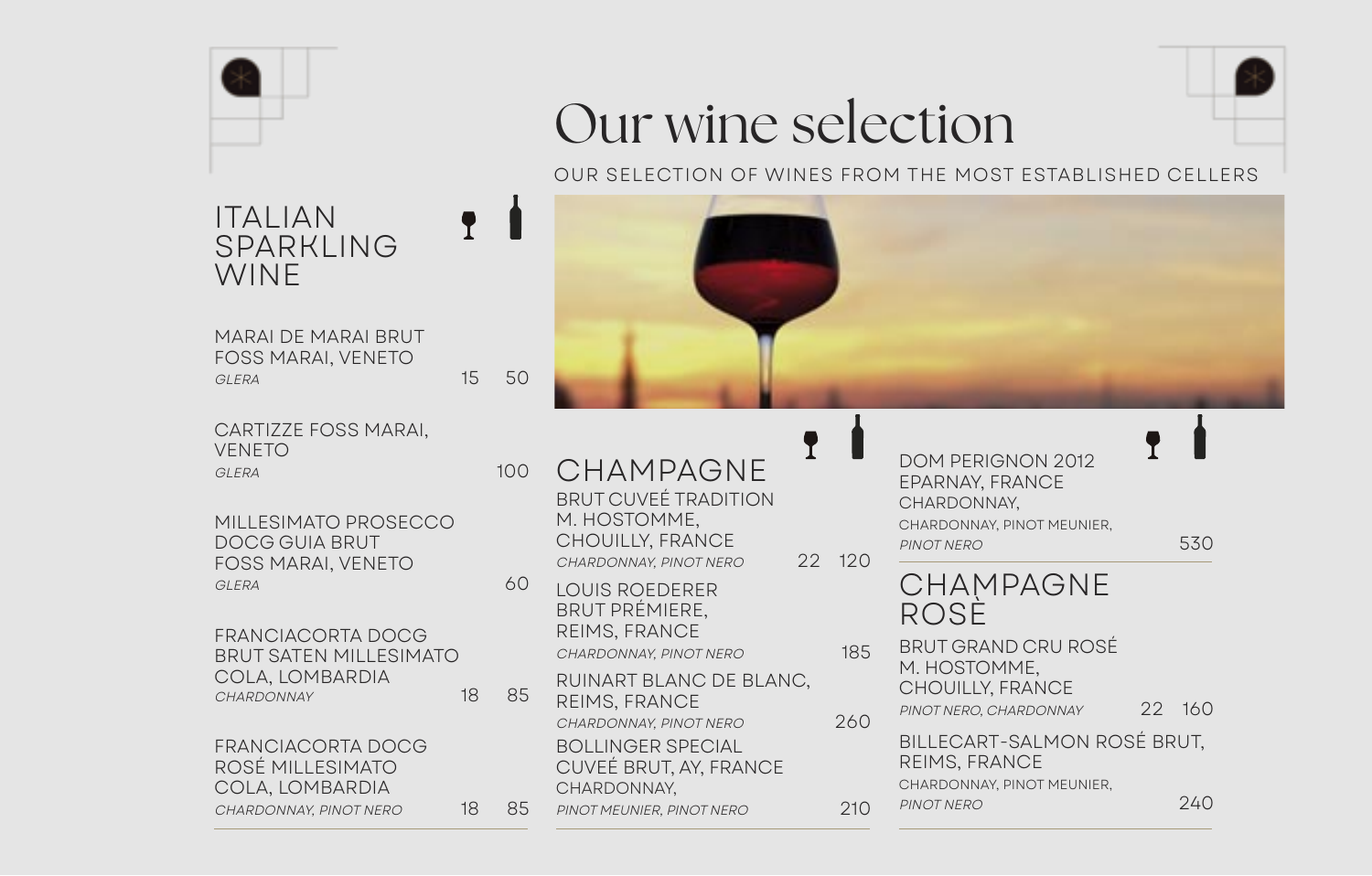

### ITALIAN SPARKLING WINE<sup></sup> ľ

MARAI DE MARAI BRUT FOSS MARAI, VENETO GLERA 15 50

 $\ddagger$ 

CARTIZZE FOSS MARAI, VENETO GLERA 100

MILLESIMATO PROSECCO DOCG GUIA BRUT FOSS MARAI, VENETO GLERA 60

FRANCIACORTA DOCG BRUT SATEN MILLESIMATO COLA, LOMBARDIA CHARDONNAY 18 85

FRANCIACORTA DOCG ROSÉ MILLESIMATO COLA, LOMBARDIA CHARDONNAY, PINOT NERO 18 85

# Our wine selection

OUR SELECTION OF WINES FROM THE MOST ESTABLISHED CELLERS



CHAMPAGNE BRUT CUVEÉ TRADITION M. HOSTOMME, CHOUILLY, FRANCE CHARDONNAY, PINOT NERO 22 120

LOUIS ROEDERER BRUT PRÉMIERE, REIMS, FRANCE CHARDONNAY, PINOT NERO 185

RUINART BLANC DE BLANC, REIMS, FRANCE CHARDONNAY, PINOT NERO 260 BOLLINGER SPECIAL CUVEÉ BRUT, AY, FRANCE CHARDONNAY,

PINOT MEUNIER, PINOT NERO 210

DOM PERIGNON 2012 EPARNAY, FRANCE CHARDONNAY, CHARDONNAY, PINOT MEUNIER, PINOT NERO 530 CHAMPAGNE ROSE BRUT GRAND CRU ROSÉ M. HOSTOMME, CHOUILLY, FRANCE PINOT NERO, CHARDONNAY 22 160 BILLECART-SALMON ROSÉ BRUT, REIMS, FRANCE

CHARDONNAY, PINOT MEUNIER,

PINOT NERO 240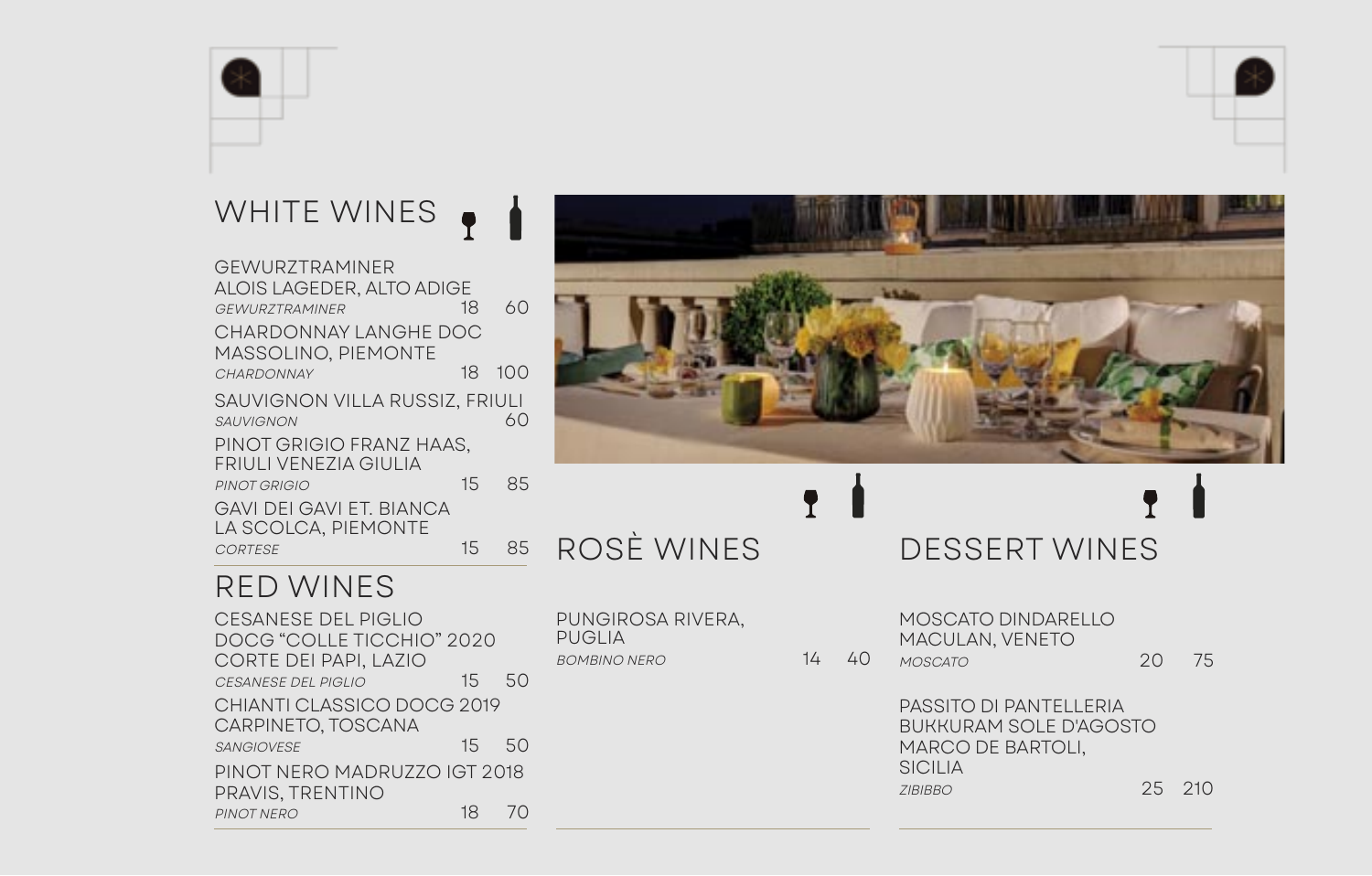### WHITE WINES ľ

| GEWURZTRAMINER                 |    |     |  |
|--------------------------------|----|-----|--|
| ALOIS LAGEDER, ALTO ADIGE      |    |     |  |
| <b>GFWURZTRAMINFR</b>          | 18 | 60  |  |
| CHARDONNAY LANGHE DOC          |    |     |  |
| <b>MASSOLINO, PIEMONTE</b>     |    |     |  |
| CHARDONNAY                     | 18 | 100 |  |
| SAUVIGNON VILLA RUSSIZ, FRIULI |    |     |  |
| <b>SAUVIGNON</b>               |    | 60  |  |
| PINOT GRIGIO FRANZ HAAS,       |    |     |  |
| FRIULI VENEZIA GIULIA          |    |     |  |
| PINOT GRIGIO                   | 15 | 85  |  |
| GAVI DEI GAVI ET. BIANCA       |    |     |  |
| LA SCOLCA, PIEMONTE            |    |     |  |
| <b>CORTESE</b>                 | 15 | 85  |  |



DOCG "COLLE TICCHIO" 2020 CORTE DEI PAPI, LAZIO CESANESE DEL PIGLIO 15 50 CHIANTI CLASSICO DOCG 2019 CARPINETO, TOSCANA SANGIOVESE 15 50 PINOT NERO MADRUZZO IGT 2018 PRAVIS, TRENTINO PINOT NERO 18 70



# ROSÈ WINES

PUNGIROSA RIVERA, PUGLIA BOMBINO NERO 14 40 DESSERT WINES ŗ

MOSCATO DINDARELLO MACULAN, VENETO MOSCATO 20 75

PASSITO DI PANTELLERIA BUKKURAM SOLE D'AGOSTO MARCO DE BARTOLI, SICILIA ZIBIBBO 25 210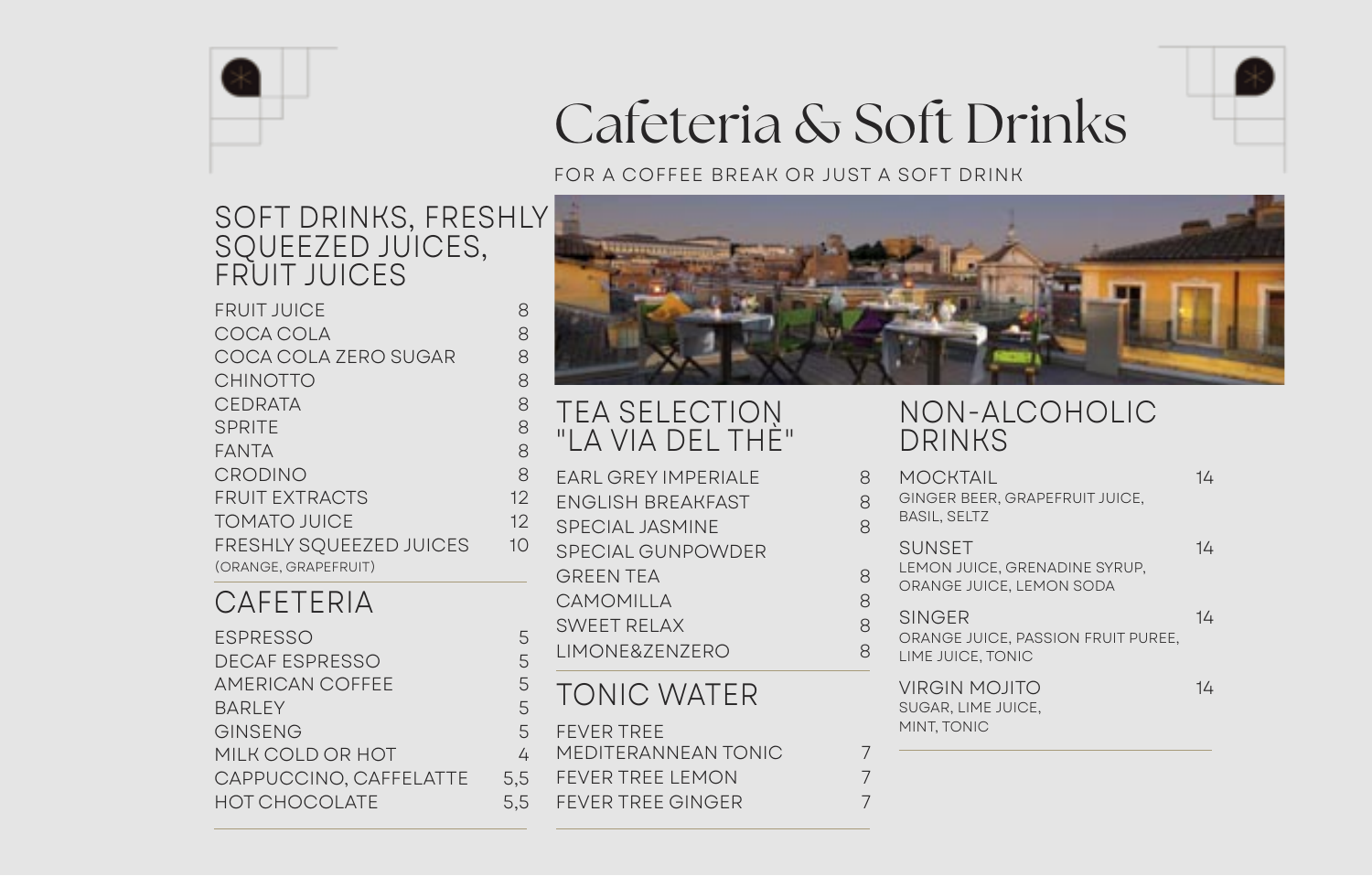

# Cafeteria & Soft Drinks

FOR A COFFEE BREAK OR JUST A SOFT DRINK

## SOFT DRINKS, FRESHLY SQUEEZED JUICES, FRUIT JUICES

| <b>FRUIT JUICE</b>             | 8  |
|--------------------------------|----|
| COCA COLA                      | 8  |
| COCA COLA ZERO SUGAR           | 8  |
| <b>CHINOTTO</b>                | 8  |
| <b>CEDRATA</b>                 | 8  |
| <b>SPRITE</b>                  | 8  |
| <b>FANTA</b>                   | 8  |
| <b>CRODINO</b>                 | 8  |
| <b>FRUIT EXTRACTS</b>          | 12 |
| <b>TOMATO JUICE</b>            | 12 |
| <b>FRESHLY SOUEEZED JUICES</b> | 10 |
| (ORANGE, GRAPEFRUIT)           |    |

## CAFETERIA

| 5   |
|-----|
| 5   |
| 5   |
| 5   |
| 5   |
| 4   |
| 5.5 |
| 5.5 |
|     |



## TEA SELECTION "LA VIA DEL THÈ"

| EARL GREY IMPERIALE                                          | 8      |
|--------------------------------------------------------------|--------|
| <b>FNGLISH BREAKFAST</b>                                     | 8      |
| <b>SPECIAL JASMINE</b>                                       | 8      |
| <b>SPECIAL GUNPOWDER</b>                                     |        |
| GRFFN TFA                                                    | 8      |
| CAMOMILLA                                                    | 8      |
| <b>SWEET RELAX</b>                                           | 8      |
| LIMONE&ZENZERO                                               | 8      |
| TONIC WATER                                                  |        |
| <b>FEVER TREE</b><br>MEDITERANNEAN TONIC<br>FEVER TREE LEMON | 7<br>7 |
| <b>FEVER TREE GINGER</b>                                     | 7      |
|                                                              |        |

## NON-ALCOHOLIC DRINKS

| 8<br>8<br>8 | MOCKTAIL<br>GINGER BEER, GRAPEFRUIT JUICE,<br><b>BASIL, SELTZ</b>          | 14 |
|-------------|----------------------------------------------------------------------------|----|
| 8<br>8      | <b>SUNSET</b><br>LEMON JUICE, GRENADINE SYRUP,<br>ORANGE JUICE, LEMON SODA | 14 |
| 8<br>8      | SINGER<br>ORANGE JUICE, PASSION FRUIT PUREE,<br>LIME JUICE, TONIC          | 14 |
|             | <b>VIRGIN MOJITO</b><br>SUGAR, LIME JUICE,<br>MINT, TONIC                  | 14 |
| 7           |                                                                            |    |
| 7           |                                                                            |    |
|             |                                                                            |    |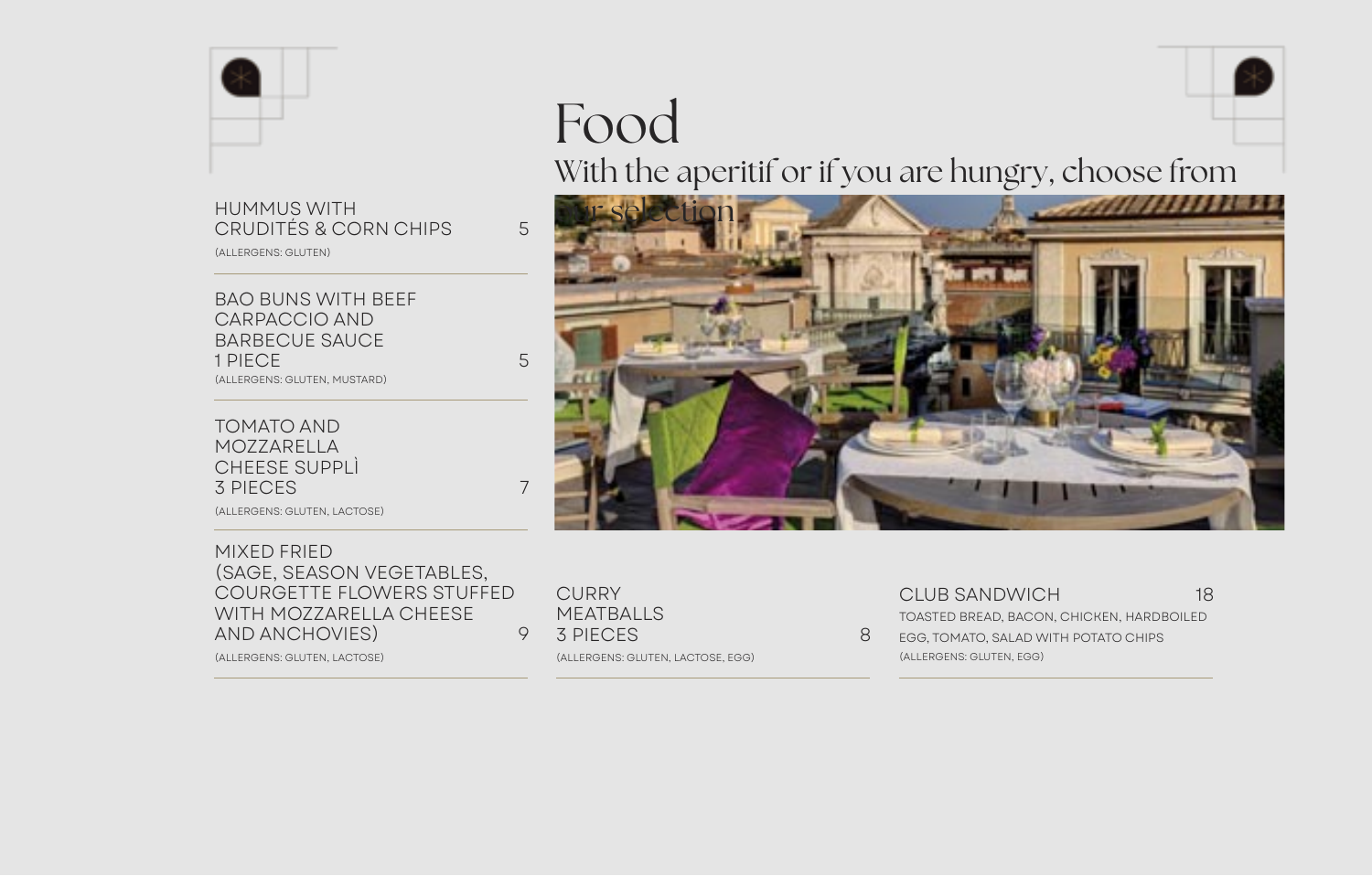

# HUMMUS WITH<br>CRUDITÉS & CORN CHIPS 5

(ALLERGENS: GLUTEN)

BAO BUNS WITH BEEF CARPACCIO AND BARBECUE SAUCE 1 PIECE 5 (ALLERGENS: GLUTEN, MUSTARD)

TOMATO AND MOZZARELLA CHEESE SUPPLÌ 3 PIECES 7

(ALLERGENS: GLUTEN, LACTOSE)

#### MIXED FRIED (SAGE, SEASON VEGETABLES, COURGETTE FLOWERS STUFFED WITH MOZZARELLA CHEESE AND ANCHOVIES) 9

(ALLERGENS: GLUTEN, LACTOSE)

### **CURRY** MEATBALLS 3 PIECES 8

(ALLERGENS: GLUTEN, LACTOSE, EGG)

CLUB SANDWICH 18 TOASTED BREAD, BACON, CHICKEN, HARDBOILED

EGG, TOMATO, SALAD WITH POTATO CHIPS (ALLERGENS: GLUTEN, EGG)



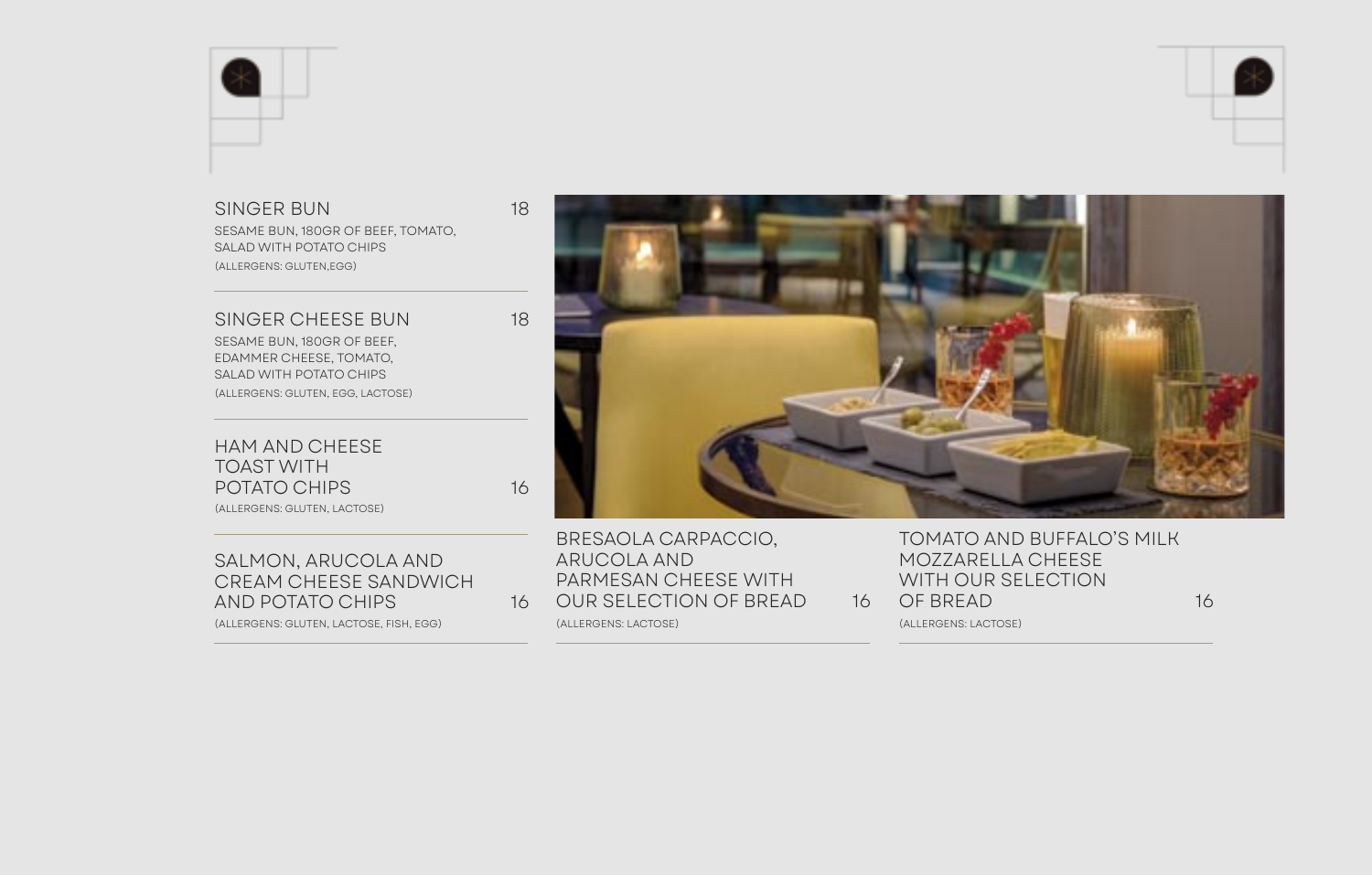

#### SINGER BUN 18

SESAME BUN, 180GR OF BEEF, TOMATO, SALAD WITH POTATO CHIPS (ALLERGENS: GLUTEN,EGG)

SINGER CHEESE BUN 18

SESAME BUN, 180GR OF BEEF, EDAMMER CHEESE, TOMATO, SALAD WITH POTATO CHIPS (ALLERGENS: GLUTEN, EGG, LACTOSE)

HAM AND CHEESE TOAST WITH POTATO CHIPS 16

(ALLERGENS: GLUTEN, LACTOSE)

SALMON, ARUCOLA AND CREAM CHEESE SANDWICH AND POTATO CHIPS 16

(ALLERGENS: GLUTEN, LACTOSE, FISH, EGG)



BRESAOLA CARPACCIO, ARUCOLA AND PARMESAN CHEESE WITH OUR SELECTION OF BREAD 16

(ALLERGENS: LACTOSE)

TOMATO AND BUFFALO'S MILK MOZZARELLA CHEESE WITH OUR SELECTION OF BREAD 16

(ALLERGENS: LACTOSE)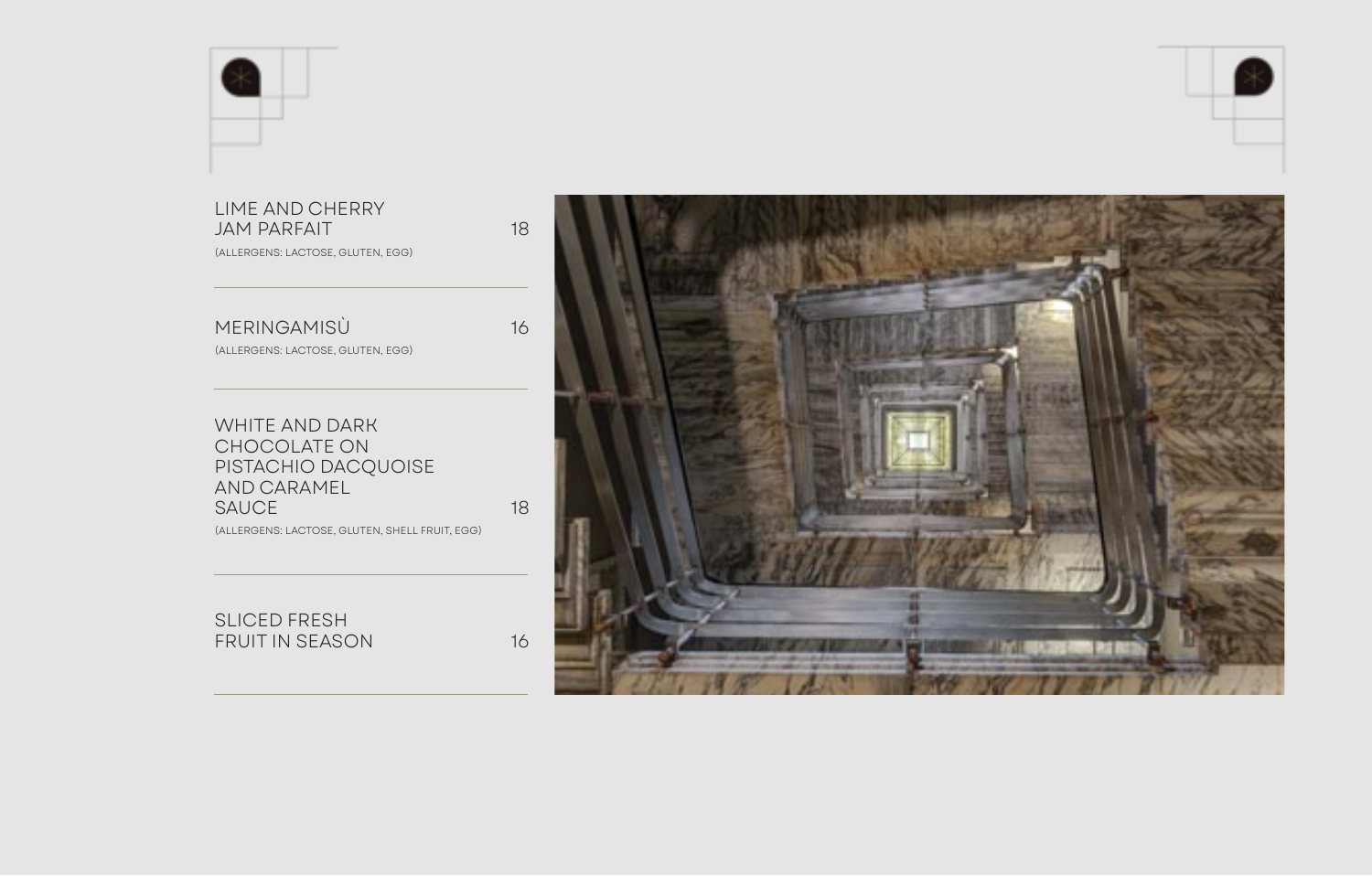



### LIME AND CHERRY JAM PARFAIT 18

(ALLERGENS: LACTOSE, GLUTEN, EGG)

| MERINGAMISÙ | 16 |
|-------------|----|
|             |    |

(ALLERGENS: LACTOSE, GLUTEN, EGG)

WHITE AND DARK CHOCOLATE ON PISTACHIO DACQUOISE AND CARAMEL SAUCE 18

(ALLERGENS: LACTOSE, GLUTEN, SHELL FRUIT, EGG)

SLICED FRESH FRUIT IN SEASON 16